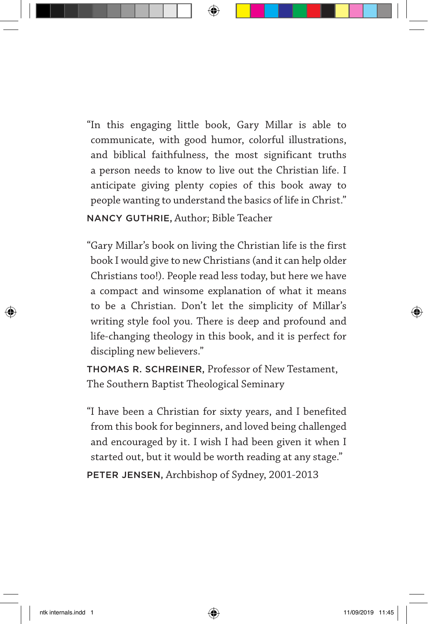"In this engaging little book, Gary Millar is able to communicate, with good humor, colorful illustrations, and biblical faithfulness, the most significant truths a person needs to know to live out the Christian life. I anticipate giving plenty copies of this book away to people wanting to understand the basics of life in Christ."

NANCY GUTHRIE, Author; Bible Teacher

"Gary Millar's book on living the Christian life is the first book I would give to new Christians (and it can help older Christians too!). People read less today, but here we have a compact and winsome explanation of what it means to be a Christian. Don't let the simplicity of Millar's writing style fool you. There is deep and profound and life-changing theology in this book, and it is perfect for discipling new believers."

THOMAS R. SCHREINER, Professor of New Testament, The Southern Baptist Theological Seminary

- "I have been a Christian for sixty years, and I benefited from this book for beginners, and loved being challenged and encouraged by it. I wish I had been given it when I started out, but it would be worth reading at any stage."
- PETER JENSEN, Archbishop of Sydney, 2001-2013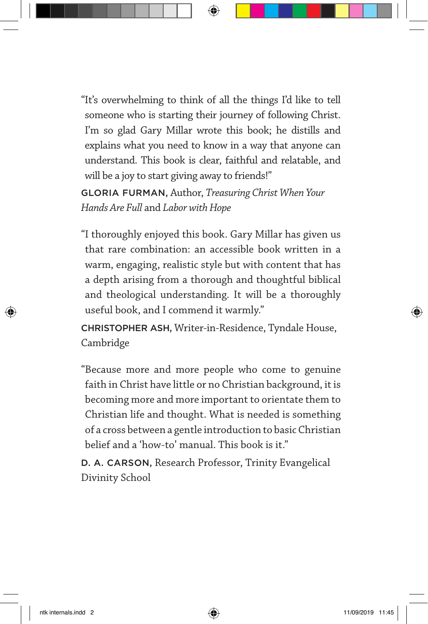"It's overwhelming to think of all the things I'd like to tell someone who is starting their journey of following Christ. I'm so glad Gary Millar wrote this book; he distills and explains what you need to know in a way that anyone can understand. This book is clear, faithful and relatable, and will be a joy to start giving away to friends!"

GLORIA FURMAN, Author, *Treasuring Christ When Your Hands Are Full* and *Labor with Hope* 

"I thoroughly enjoyed this book. Gary Millar has given us that rare combination: an accessible book written in a warm, engaging, realistic style but with content that has a depth arising from a thorough and thoughtful biblical and theological understanding. It will be a thoroughly useful book, and I commend it warmly."

CHRISTOPHER ASH, Writer-in-Residence, Tyndale House, Cambridge

"Because more and more people who come to genuine faith in Christ have little or no Christian background, it is becoming more and more important to orientate them to Christian life and thought. What is needed is something of a cross between a gentle introduction to basic Christian belief and a 'how-to' manual. This book is it."

D. A. CARSON, Research Professor, Trinity Evangelical Divinity School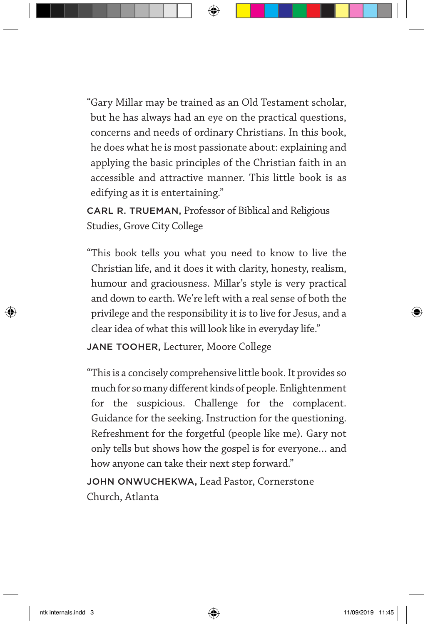"Gary Millar may be trained as an Old Testament scholar, but he has always had an eye on the practical questions, concerns and needs of ordinary Christians. In this book, he does what he is most passionate about: explaining and applying the basic principles of the Christian faith in an accessible and attractive manner. This little book is as edifying as it is entertaining."

CARL R. TRUEMAN, Professor of Biblical and Religious Studies, Grove City College

"This book tells you what you need to know to live the Christian life, and it does it with clarity, honesty, realism, humour and graciousness. Millar's style is very practical and down to earth. We're left with a real sense of both the privilege and the responsibility it is to live for Jesus, and a clear idea of what this will look like in everyday life."

JANE TOOHER, Lecturer, Moore College

"This is a concisely comprehensive little book. It provides so much for so many different kinds of people. Enlightenment for the suspicious. Challenge for the complacent. Guidance for the seeking. Instruction for the questioning. Refreshment for the forgetful (people like me). Gary not only tells but shows how the gospel is for everyone… and how anyone can take their next step forward."

JOHN ONWUCHEKWA, Lead Pastor, Cornerstone Church, Atlanta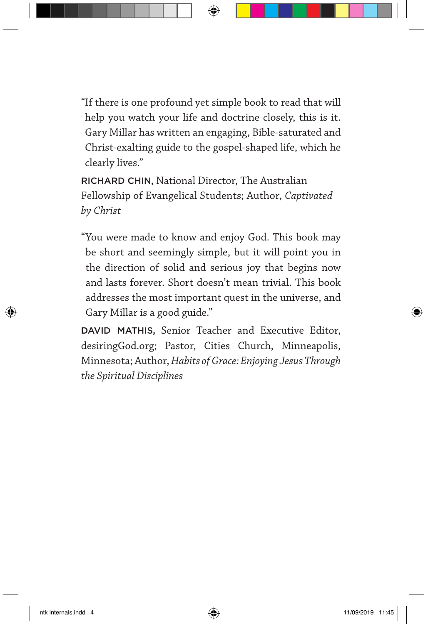"If there is one profound yet simple book to read that will help you watch your life and doctrine closely, this is it. Gary Millar has written an engaging, Bible-saturated and Christ-exalting guide to the gospel-shaped life, which he clearly lives."

RICHARD CHIN, National Director, The Australian Fellowship of Evangelical Students; Author, *Captivated by Christ*

"You were made to know and enjoy God. This book may be short and seemingly simple, but it will point you in the direction of solid and serious joy that begins now and lasts forever. Short doesn't mean trivial. This book addresses the most important quest in the universe, and Gary Millar is a good guide."

DAVID MATHIS, Senior Teacher and Executive Editor, desiringGod.org; Pastor, Cities Church, Minneapolis, Minnesota; Author, *Habits of Grace: Enjoying Jesus Through the Spiritual Disciplines*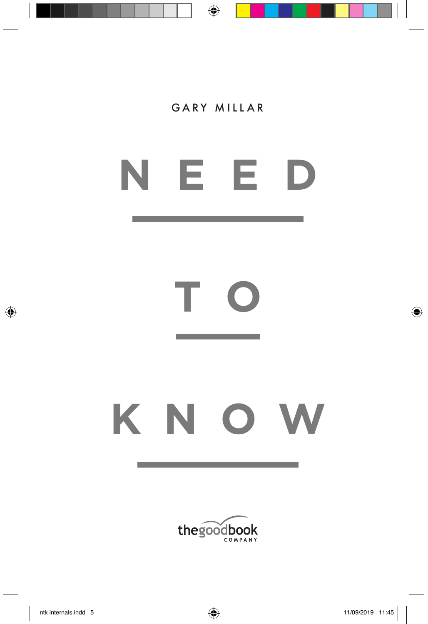

and the state of the state of the state of

# **T O KNOW**

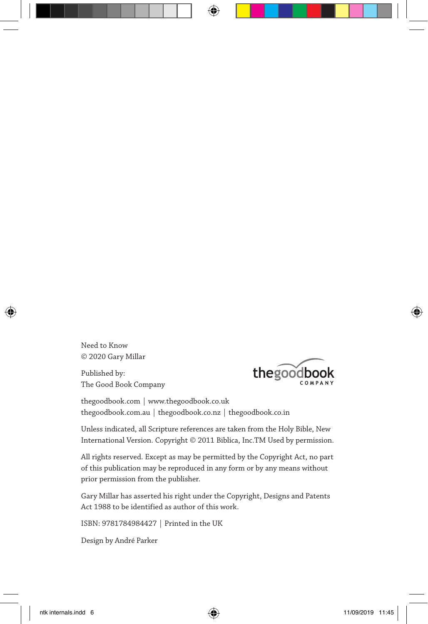Need to Know © 2020 Gary Millar

Published by: The Good Book Company



thegoodbook.com | www.thegoodbook.co.uk thegoodbook.com.au | thegoodbook.co.nz | thegoodbook.co.in

Unless indicated, all Scripture references are taken from the Holy Bible, New International Version. Copyright © 2011 Biblica, Inc.TM Used by permission.

All rights reserved. Except as may be permitted by the Copyright Act, no part of this publication may be reproduced in any form or by any means without prior permission from the publisher.

Gary Millar has asserted his right under the Copyright, Designs and Patents Act 1988 to be identified as author of this work.

ISBN: 9781784984427 | Printed in the UK

Design by André Parker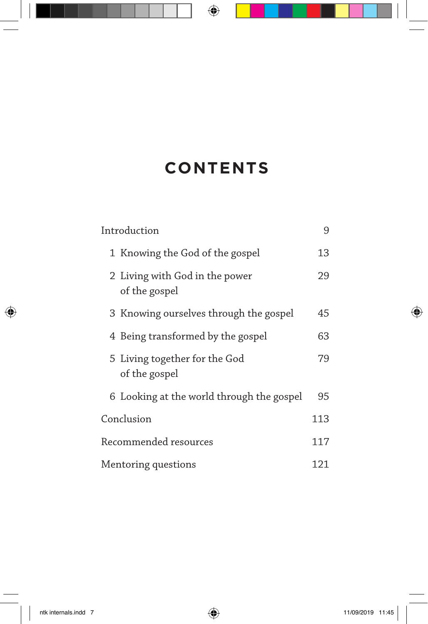## **CONTENTS**

| Introduction                                    | 9   |
|-------------------------------------------------|-----|
| 1 Knowing the God of the gospel                 | 13  |
| 2 Living with God in the power<br>of the gospel | 29  |
| 3 Knowing ourselves through the gospel          | 45  |
| 4 Being transformed by the gospel               | 63  |
| 5 Living together for the God<br>of the gospel  | 79  |
| 6 Looking at the world through the gospel       | 95  |
| Conclusion                                      | 113 |
| Recommended resources                           | 117 |
| Mentoring questions                             | 121 |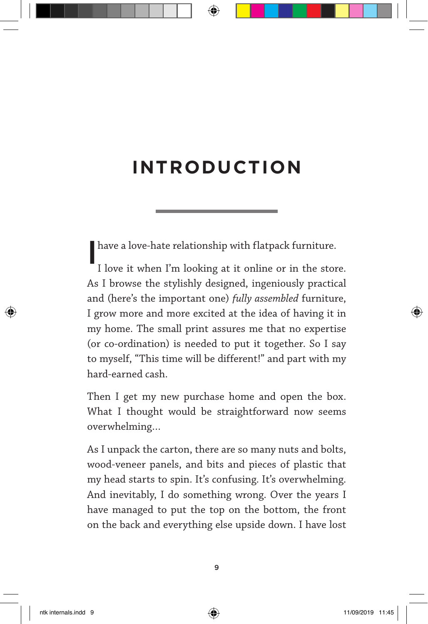## **INTRODUCTION**

I have a love-hate relationship with flatpack furniture.

I love it when I'm looking at it online or in the store. As I browse the stylishly designed, ingeniously practical and (here's the important one) *fully assembled* furniture, I grow more and more excited at the idea of having it in my home. The small print assures me that no expertise (or co-ordination) is needed to put it together. So I say to myself, "This time will be different!" and part with my hard-earned cash.

Then I get my new purchase home and open the box. What I thought would be straightforward now seems overwhelming…

As I unpack the carton, there are so many nuts and bolts, wood-veneer panels, and bits and pieces of plastic that my head starts to spin. It's confusing. It's overwhelming. And inevitably, I do something wrong. Over the years I have managed to put the top on the bottom, the front on the back and everything else upside down. I have lost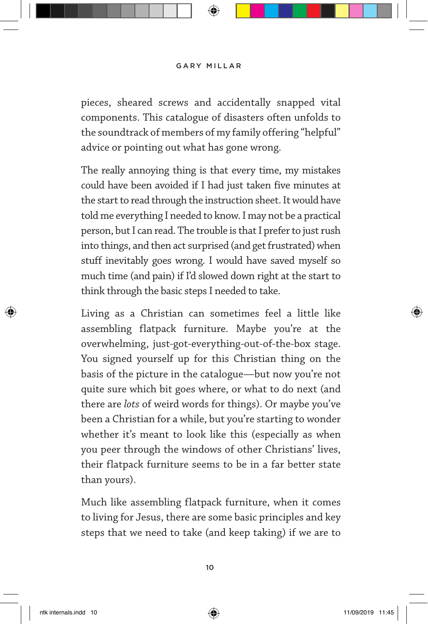pieces, sheared screws and accidentally snapped vital components. This catalogue of disasters often unfolds to the soundtrack of members of my family offering "helpful" advice or pointing out what has gone wrong.

The really annoying thing is that every time, my mistakes could have been avoided if I had just taken five minutes at the start to read through the instruction sheet. It would have told me everything I needed to know. I may not be a practical person, but I can read. The trouble is that I prefer to just rush into things, and then act surprised (and get frustrated) when stuff inevitably goes wrong. I would have saved myself so much time (and pain) if I'd slowed down right at the start to think through the basic steps I needed to take.

Living as a Christian can sometimes feel a little like assembling flatpack furniture. Maybe you're at the overwhelming, just-got-everything-out-of-the-box stage. You signed yourself up for this Christian thing on the basis of the picture in the catalogue—but now you're not quite sure which bit goes where, or what to do next (and there are *lots* of weird words for things). Or maybe you've been a Christian for a while, but you're starting to wonder whether it's meant to look like this (especially as when you peer through the windows of other Christians' lives, their flatpack furniture seems to be in a far better state than yours).

Much like assembling flatpack furniture, when it comes to living for Jesus, there are some basic principles and key steps that we need to take (and keep taking) if we are to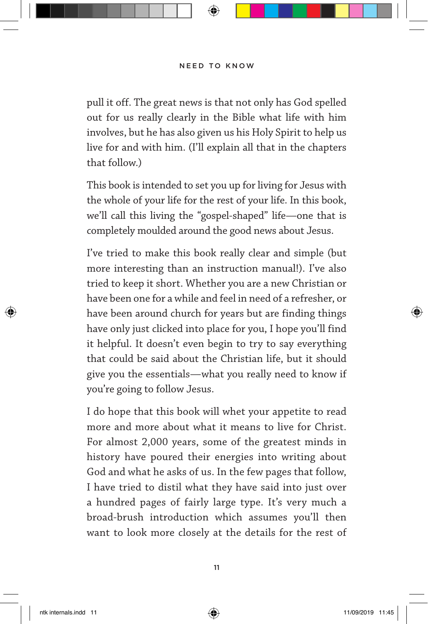pull it off. The great news is that not only has God spelled out for us really clearly in the Bible what life with him involves, but he has also given us his Holy Spirit to help us live for and with him. (I'll explain all that in the chapters that follow.)

This book is intended to set you up for living for Jesus with the whole of your life for the rest of your life. In this book, we'll call this living the "gospel-shaped" life—one that is completely moulded around the good news about Jesus.

I've tried to make this book really clear and simple (but more interesting than an instruction manual!). I've also tried to keep it short. Whether you are a new Christian or have been one for a while and feel in need of a refresher, or have been around church for years but are finding things have only just clicked into place for you, I hope you'll find it helpful. It doesn't even begin to try to say everything that could be said about the Christian life, but it should give you the essentials—what you really need to know if you're going to follow Jesus.

I do hope that this book will whet your appetite to read more and more about what it means to live for Christ. For almost 2,000 years, some of the greatest minds in history have poured their energies into writing about God and what he asks of us. In the few pages that follow, I have tried to distil what they have said into just over a hundred pages of fairly large type. It's very much a broad-brush introduction which assumes you'll then want to look more closely at the details for the rest of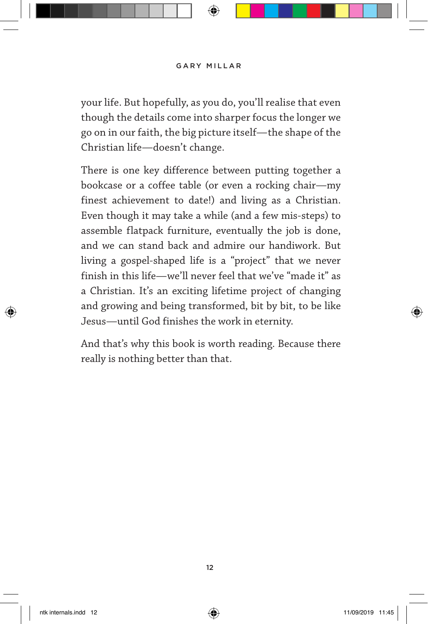your life. But hopefully, as you do, you'll realise that even though the details come into sharper focus the longer we go on in our faith, the big picture itself—the shape of the Christian life—doesn't change.

There is one key difference between putting together a bookcase or a coffee table (or even a rocking chair—my finest achievement to date!) and living as a Christian. Even though it may take a while (and a few mis-steps) to assemble flatpack furniture, eventually the job is done, and we can stand back and admire our handiwork. But living a gospel-shaped life is a "project" that we never finish in this life—we'll never feel that we've "made it" as a Christian. It's an exciting lifetime project of changing and growing and being transformed, bit by bit, to be like Jesus—until God finishes the work in eternity.

And that's why this book is worth reading. Because there really is nothing better than that.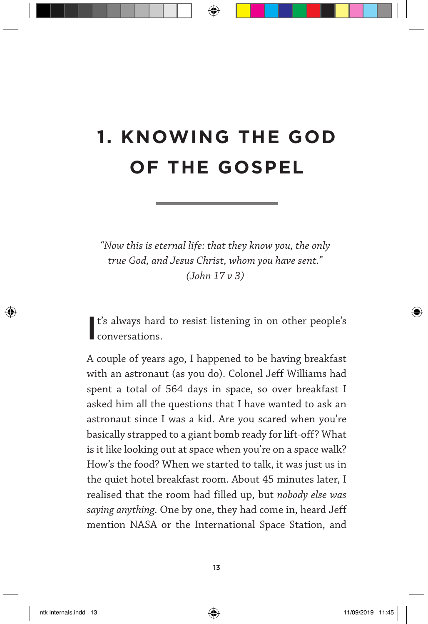## **1. KNOWING THE GOD OF THE GOSPEL**

*"Now this is eternal life: that they know you, the only true God, and Jesus Christ, whom you have sent." (John 17 v 3)*

t's always hard to resist listening in on other people's conversations. conversations.

A couple of years ago, I happened to be having breakfast with an astronaut (as you do). Colonel Jeff Williams had spent a total of 564 days in space, so over breakfast I asked him all the questions that I have wanted to ask an astronaut since I was a kid. Are you scared when you're basically strapped to a giant bomb ready for lift-off? What is it like looking out at space when you're on a space walk? How's the food? When we started to talk, it was just us in the quiet hotel breakfast room. About 45 minutes later, I realised that the room had filled up, but *nobody else was saying anything*. One by one, they had come in, heard Jeff mention NASA or the International Space Station, and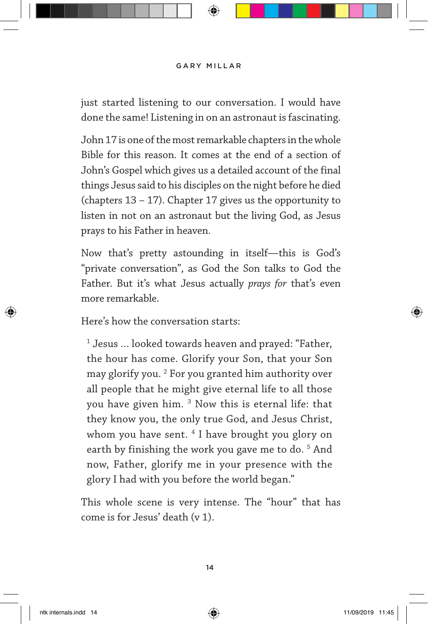just started listening to our conversation. I would have done the same! Listening in on an astronaut is fascinating.

John 17 is one of the most remarkable chapters in the whole Bible for this reason. It comes at the end of a section of John's Gospel which gives us a detailed account of the final things Jesus said to his disciples on the night before he died (chapters 13 – 17). Chapter 17 gives us the opportunity to listen in not on an astronaut but the living God, as Jesus prays to his Father in heaven.

Now that's pretty astounding in itself—this is God's "private conversation", as God the Son talks to God the Father. But it's what Jesus actually *prays for* that's even more remarkable.

Here's how the conversation starts:

<sup>1</sup> Jesus ... looked towards heaven and prayed: "Father, the hour has come. Glorify your Son, that your Son may glorify you. 2 For you granted him authority over all people that he might give eternal life to all those you have given him. 3 Now this is eternal life: that they know you, the only true God, and Jesus Christ, whom you have sent. 4 I have brought you glory on earth by finishing the work you gave me to do.<sup>5</sup> And now, Father, glorify me in your presence with the glory I had with you before the world began."

This whole scene is very intense. The "hour" that has come is for Jesus' death (v 1).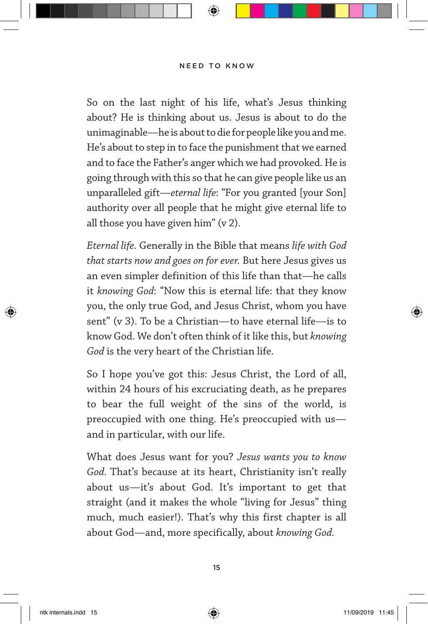So on the last night of his life, what's Jesus thinking about? He is thinking about us. Jesus is about to do the unimaginable—he is about to die for people like you and me. He's about to step in to face the punishment that we earned and to face the Father's anger which we had provoked. He is going through with this so that he can give people like us an unparalleled gift—*eternal life*: "For you granted [your Son] authority over all people that he might give eternal life to all those you have given him" (v 2).

*Eternal life.* Generally in the Bible that means *life with God that starts now and goes on for ever.* But here Jesus gives us an even simpler definition of this life than that—he calls it *knowing God*: "Now this is eternal life: that they know you, the only true God, and Jesus Christ, whom you have sent" (v 3). To be a Christian—to have eternal life—is to know God. We don't often think of it like this, but *knowing God* is the very heart of the Christian life.

So I hope you've got this: Jesus Christ, the Lord of all, within 24 hours of his excruciating death, as he prepares to bear the full weight of the sins of the world, is preoccupied with one thing. He's preoccupied with us and in particular, with our life.

What does Jesus want for you? *Jesus wants you to know God.* That's because at its heart, Christianity isn't really about us—it's about God. It's important to get that straight (and it makes the whole "living for Jesus" thing much, much easier!). That's why this first chapter is all about God—and, more specifically, about *knowing God.*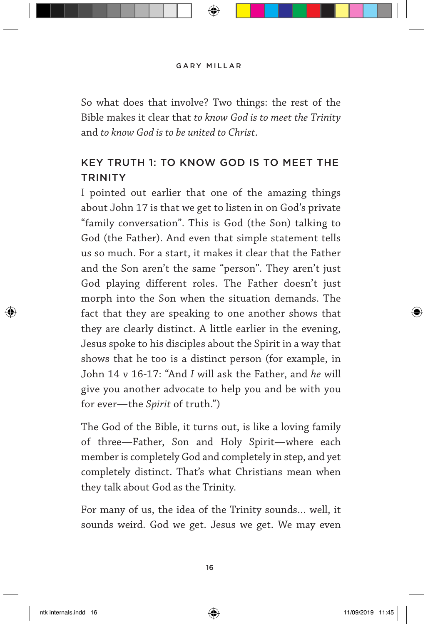So what does that involve? Two things: the rest of the Bible makes it clear that *to know God is to meet the Trinity* and *to know God is to be united to Christ*.

#### KEY TRUTH 1: TO KNOW GOD IS TO MEET THE **TRINITY**

I pointed out earlier that one of the amazing things about John 17 is that we get to listen in on God's private "family conversation". This is God (the Son) talking to God (the Father). And even that simple statement tells us so much. For a start, it makes it clear that the Father and the Son aren't the same "person". They aren't just God playing different roles. The Father doesn't just morph into the Son when the situation demands. The fact that they are speaking to one another shows that they are clearly distinct. A little earlier in the evening, Jesus spoke to his disciples about the Spirit in a way that shows that he too is a distinct person (for example, in John 14 v 16-17: "And *I* will ask the Father, and *he* will give you another advocate to help you and be with you for ever—the *Spirit* of truth.")

The God of the Bible, it turns out, is like a loving family of three—Father, Son and Holy Spirit—where each member is completely God and completely in step, and yet completely distinct. That's what Christians mean when they talk about God as the Trinity.

For many of us, the idea of the Trinity sounds… well, it sounds weird. God we get. Jesus we get. We may even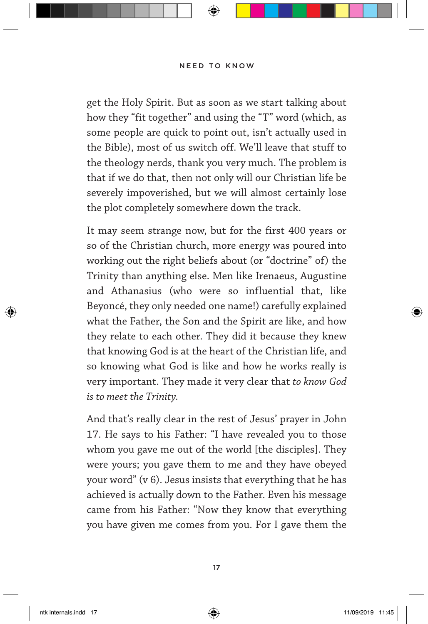get the Holy Spirit. But as soon as we start talking about how they "fit together" and using the "T" word (which, as some people are quick to point out, isn't actually used in the Bible), most of us switch off. We'll leave that stuff to the theology nerds, thank you very much. The problem is that if we do that, then not only will our Christian life be severely impoverished, but we will almost certainly lose the plot completely somewhere down the track.

It may seem strange now, but for the first 400 years or so of the Christian church, more energy was poured into working out the right beliefs about (or "doctrine" of) the Trinity than anything else. Men like Irenaeus, Augustine and Athanasius (who were so influential that, like Beyoncé, they only needed one name!) carefully explained what the Father, the Son and the Spirit are like, and how they relate to each other. They did it because they knew that knowing God is at the heart of the Christian life, and so knowing what God is like and how he works really is very important. They made it very clear that *to know God is to meet the Trinity.* 

And that's really clear in the rest of Jesus' prayer in John 17. He says to his Father: "I have revealed you to those whom you gave me out of the world [the disciples]. They were yours; you gave them to me and they have obeyed your word" (v 6). Jesus insists that everything that he has achieved is actually down to the Father. Even his message came from his Father: "Now they know that everything you have given me comes from you. For I gave them the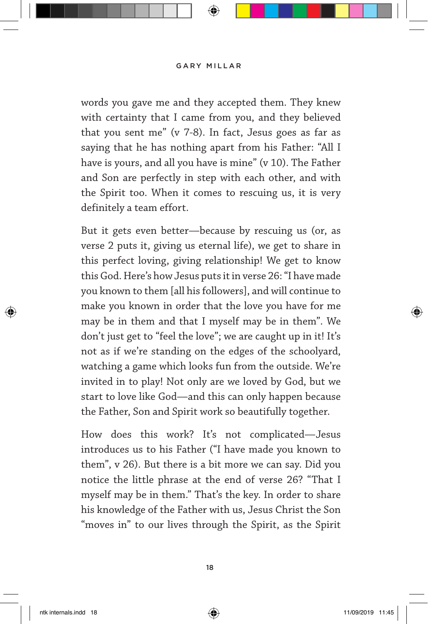words you gave me and they accepted them. They knew with certainty that I came from you, and they believed that you sent me" (v 7-8). In fact, Jesus goes as far as saying that he has nothing apart from his Father: "All I have is yours, and all you have is mine" (v 10). The Father and Son are perfectly in step with each other, and with the Spirit too. When it comes to rescuing us, it is very definitely a team effort.

But it gets even better—because by rescuing us (or, as verse 2 puts it, giving us eternal life), we get to share in this perfect loving, giving relationship! We get to know this God. Here's how Jesus puts it in verse 26: "I have made you known to them [all his followers], and will continue to make you known in order that the love you have for me may be in them and that I myself may be in them". We don't just get to "feel the love"; we are caught up in it! It's not as if we're standing on the edges of the schoolyard, watching a game which looks fun from the outside. We're invited in to play! Not only are we loved by God, but we start to love like God—and this can only happen because the Father, Son and Spirit work so beautifully together.

How does this work? It's not complicated—Jesus introduces us to his Father ("I have made you known to them", v 26). But there is a bit more we can say. Did you notice the little phrase at the end of verse 26? "That I myself may be in them." That's the key. In order to share his knowledge of the Father with us, Jesus Christ the Son "moves in" to our lives through the Spirit, as the Spirit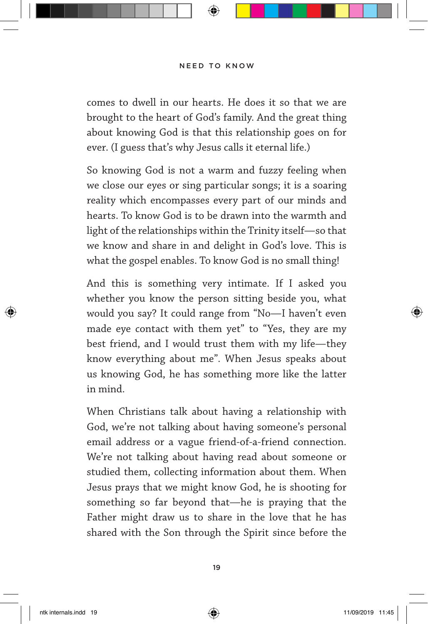comes to dwell in our hearts. He does it so that we are brought to the heart of God's family. And the great thing about knowing God is that this relationship goes on for ever. (I guess that's why Jesus calls it eternal life.)

So knowing God is not a warm and fuzzy feeling when we close our eyes or sing particular songs; it is a soaring reality which encompasses every part of our minds and hearts. To know God is to be drawn into the warmth and light of the relationships within the Trinity itself—so that we know and share in and delight in God's love. This is what the gospel enables. To know God is no small thing!

And this is something very intimate. If I asked you whether you know the person sitting beside you, what would you say? It could range from "No—I haven't even made eye contact with them yet" to "Yes, they are my best friend, and I would trust them with my life—they know everything about me". When Jesus speaks about us knowing God, he has something more like the latter in mind.

When Christians talk about having a relationship with God, we're not talking about having someone's personal email address or a vague friend-of-a-friend connection. We're not talking about having read about someone or studied them, collecting information about them. When Jesus prays that we might know God, he is shooting for something so far beyond that—he is praying that the Father might draw us to share in the love that he has shared with the Son through the Spirit since before the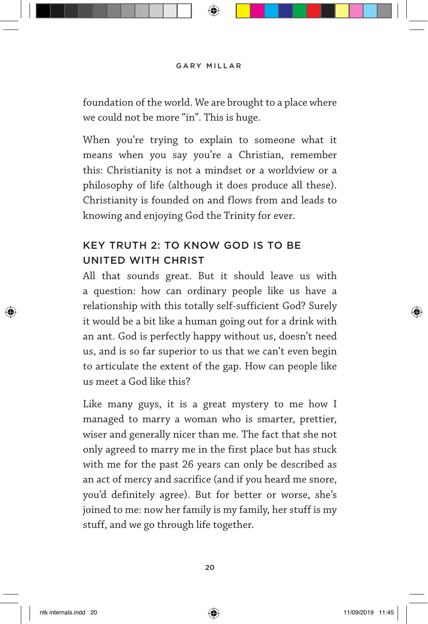foundation of the world. We are brought to a place where we could not be more "in". This is huge.

When you're trying to explain to someone what it means when you say you're a Christian, remember this: Christianity is not a mindset or a worldview or a philosophy of life (although it does produce all these). Christianity is founded on and flows from and leads to knowing and enjoying God the Trinity for ever.

#### KEY TRUTH 2: TO KNOW GOD IS TO BE UNITED WITH CHRIST

All that sounds great. But it should leave us with a question: how can ordinary people like us have a relationship with this totally self-sufficient God? Surely it would be a bit like a human going out for a drink with an ant. God is perfectly happy without us, doesn't need us, and is so far superior to us that we can't even begin to articulate the extent of the gap. How can people like us meet a God like this?

Like many guys, it is a great mystery to me how I managed to marry a woman who is smarter, prettier, wiser and generally nicer than me. The fact that she not only agreed to marry me in the first place but has stuck with me for the past 26 years can only be described as an act of mercy and sacrifice (and if you heard me snore, you'd definitely agree). But for better or worse, she's joined to me: now her family is my family, her stuff is my stuff, and we go through life together.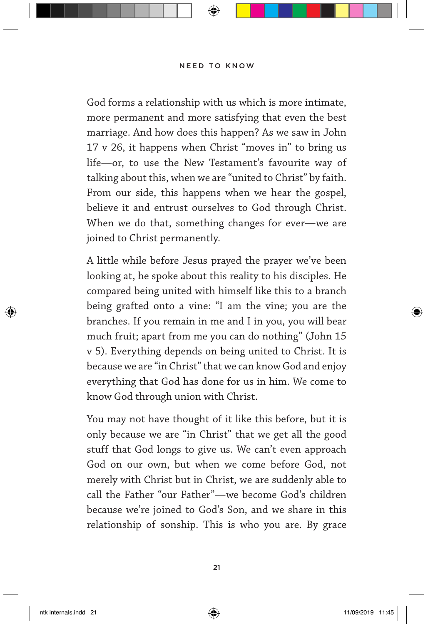God forms a relationship with us which is more intimate, more permanent and more satisfying that even the best marriage. And how does this happen? As we saw in John 17 v 26, it happens when Christ "moves in" to bring us life—or, to use the New Testament's favourite way of talking about this, when we are "united to Christ" by faith. From our side, this happens when we hear the gospel, believe it and entrust ourselves to God through Christ. When we do that, something changes for ever—we are joined to Christ permanently.

A little while before Jesus prayed the prayer we've been looking at, he spoke about this reality to his disciples. He compared being united with himself like this to a branch being grafted onto a vine: "I am the vine; you are the branches. If you remain in me and I in you, you will bear much fruit; apart from me you can do nothing" (John 15 v 5). Everything depends on being united to Christ. It is because we are "in Christ" that we can know God and enjoy everything that God has done for us in him. We come to know God through union with Christ.

You may not have thought of it like this before, but it is only because we are "in Christ" that we get all the good stuff that God longs to give us. We can't even approach God on our own, but when we come before God, not merely with Christ but in Christ, we are suddenly able to call the Father "our Father"—we become God's children because we're joined to God's Son, and we share in this relationship of sonship. This is who you are. By grace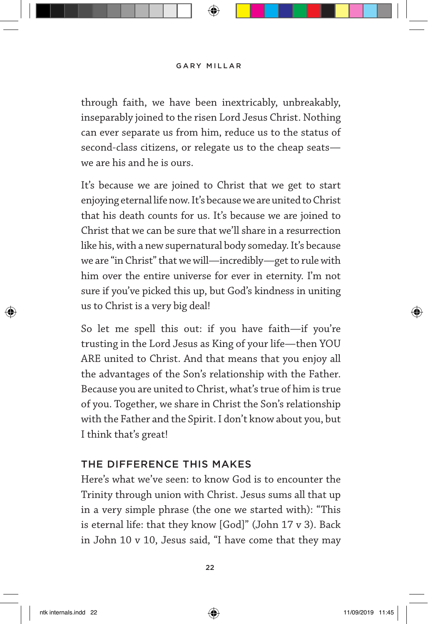through faith, we have been inextricably, unbreakably, inseparably joined to the risen Lord Jesus Christ. Nothing can ever separate us from him, reduce us to the status of second-class citizens, or relegate us to the cheap seats we are his and he is ours.

It's because we are joined to Christ that we get to start enjoying eternal life now. It's because we are united to Christ that his death counts for us. It's because we are joined to Christ that we can be sure that we'll share in a resurrection like his, with a new supernatural body someday. It's because we are "in Christ" that we will—incredibly—get to rule with him over the entire universe for ever in eternity. I'm not sure if you've picked this up, but God's kindness in uniting us to Christ is a very big deal!

So let me spell this out: if you have faith—if you're trusting in the Lord Jesus as King of your life—then YOU ARE united to Christ. And that means that you enjoy all the advantages of the Son's relationship with the Father. Because you are united to Christ, what's true of him is true of you. Together, we share in Christ the Son's relationship with the Father and the Spirit. I don't know about you, but I think that's great!

#### THE DIFFERENCE THIS MAKES

Here's what we've seen: to know God is to encounter the Trinity through union with Christ. Jesus sums all that up in a very simple phrase (the one we started with): "This is eternal life: that they know [God]" (John 17 v 3). Back in John 10 v 10, Jesus said, "I have come that they may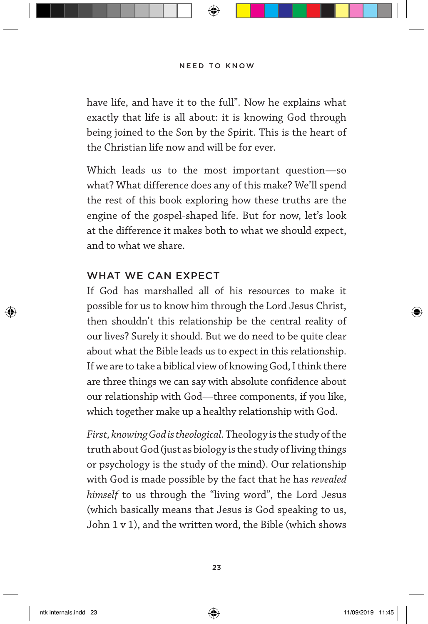have life, and have it to the full". Now he explains what exactly that life is all about: it is knowing God through being joined to the Son by the Spirit. This is the heart of the Christian life now and will be for ever.

Which leads us to the most important question—so what? What difference does any of this make? We'll spend the rest of this book exploring how these truths are the engine of the gospel-shaped life. But for now, let's look at the difference it makes both to what we should expect, and to what we share.

#### WHAT WE CAN EXPECT

If God has marshalled all of his resources to make it possible for us to know him through the Lord Jesus Christ, then shouldn't this relationship be the central reality of our lives? Surely it should. But we do need to be quite clear about what the Bible leads us to expect in this relationship. If we are to take a biblical view of knowing God, I think there are three things we can say with absolute confidence about our relationship with God—three components, if you like, which together make up a healthy relationship with God.

*First, knowing God is theological.* Theology is the study of the truth about God (just as biology is the study of living things or psychology is the study of the mind). Our relationship with God is made possible by the fact that he has *revealed himself* to us through the "living word", the Lord Jesus (which basically means that Jesus is God speaking to us, John 1 v 1), and the written word, the Bible (which shows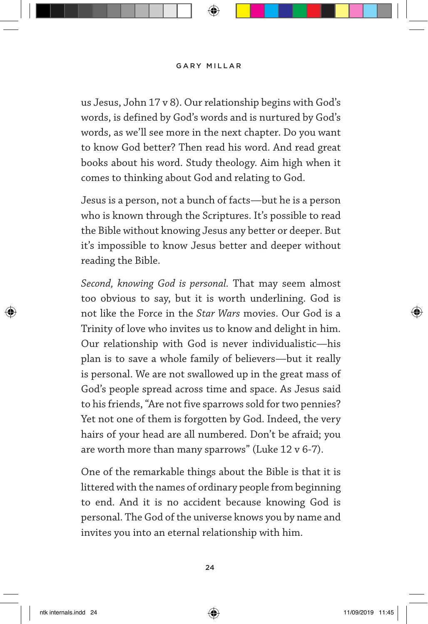us Jesus, John 17 v 8). Our relationship begins with God's words, is defined by God's words and is nurtured by God's words, as we'll see more in the next chapter. Do you want to know God better? Then read his word. And read great books about his word. Study theology. Aim high when it comes to thinking about God and relating to God.

Jesus is a person, not a bunch of facts—but he is a person who is known through the Scriptures. It's possible to read the Bible without knowing Jesus any better or deeper. But it's impossible to know Jesus better and deeper without reading the Bible.

*Second, knowing God is personal.* That may seem almost too obvious to say, but it is worth underlining. God is not like the Force in the *Star Wars* movies. Our God is a Trinity of love who invites us to know and delight in him. Our relationship with God is never individualistic—his plan is to save a whole family of believers—but it really is personal. We are not swallowed up in the great mass of God's people spread across time and space. As Jesus said to his friends, "Are not five sparrows sold for two pennies? Yet not one of them is forgotten by God. Indeed, the very hairs of your head are all numbered. Don't be afraid; you are worth more than many sparrows" (Luke 12 v 6-7).

One of the remarkable things about the Bible is that it is littered with the names of ordinary people from beginning to end. And it is no accident because knowing God is personal. The God of the universe knows you by name and invites you into an eternal relationship with him.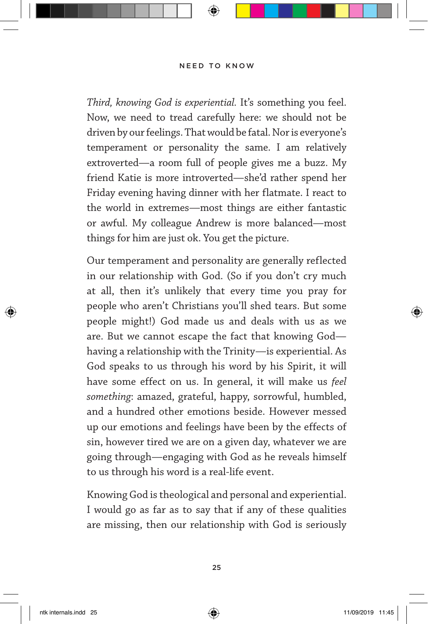*Third, knowing God is experiential.* It's something you feel. Now, we need to tread carefully here: we should not be driven by our feelings. That would be fatal. Nor is everyone's temperament or personality the same. I am relatively extroverted—a room full of people gives me a buzz. My friend Katie is more introverted—she'd rather spend her Friday evening having dinner with her flatmate. I react to the world in extremes—most things are either fantastic or awful. My colleague Andrew is more balanced—most things for him are just ok. You get the picture.

Our temperament and personality are generally reflected in our relationship with God. (So if you don't cry much at all, then it's unlikely that every time you pray for people who aren't Christians you'll shed tears. But some people might!) God made us and deals with us as we are. But we cannot escape the fact that knowing God having a relationship with the Trinity—is experiential. As God speaks to us through his word by his Spirit, it will have some effect on us. In general, it will make us *feel something*: amazed, grateful, happy, sorrowful, humbled, and a hundred other emotions beside. However messed up our emotions and feelings have been by the effects of sin, however tired we are on a given day, whatever we are going through—engaging with God as he reveals himself to us through his word is a real-life event.

Knowing God is theological and personal and experiential. I would go as far as to say that if any of these qualities are missing, then our relationship with God is seriously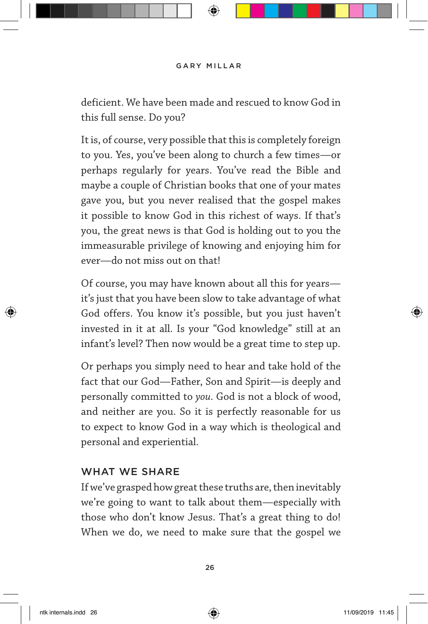deficient. We have been made and rescued to know God in this full sense. Do you?

It is, of course, very possible that this is completely foreign to you. Yes, you've been along to church a few times—or perhaps regularly for years. You've read the Bible and maybe a couple of Christian books that one of your mates gave you, but you never realised that the gospel makes it possible to know God in this richest of ways. If that's you, the great news is that God is holding out to you the immeasurable privilege of knowing and enjoying him for ever—do not miss out on that!

Of course, you may have known about all this for years it's just that you have been slow to take advantage of what God offers. You know it's possible, but you just haven't invested in it at all. Is your "God knowledge" still at an infant's level? Then now would be a great time to step up.

Or perhaps you simply need to hear and take hold of the fact that our God—Father, Son and Spirit—is deeply and personally committed to *you*. God is not a block of wood, and neither are you. So it is perfectly reasonable for us to expect to know God in a way which is theological and personal and experiential.

#### WHAT WE SHARE

If we've grasped how great these truths are, then inevitably we're going to want to talk about them—especially with those who don't know Jesus. That's a great thing to do! When we do, we need to make sure that the gospel we